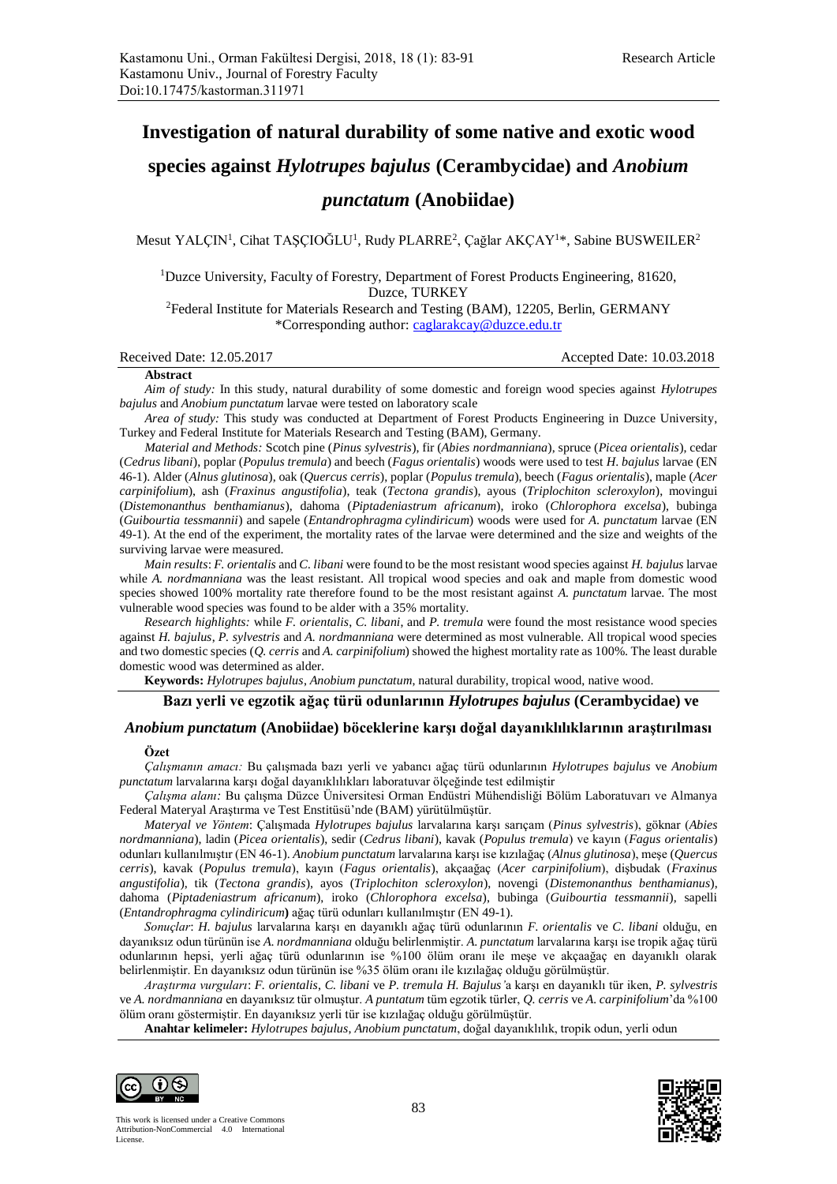# **Investigation of natural durability of some native and exotic wood**

## **species against** *Hylotrupes bajulus* **(Cerambycidae) and** *Anobium*

## *punctatum* **(Anobiidae)**

Mesut YALÇIN<sup>1</sup>, Cihat TAŞÇIOĞLU<sup>1</sup>, Rudy PLARRE<sup>2</sup>, Çağlar AKÇAY<sup>1\*</sup>, Sabine BUSWEILER<sup>2</sup>

<sup>1</sup>Duzce University, Faculty of Forestry, Department of Forest Products Engineering, 81620, Duzce, TURKEY

<sup>2</sup>Federal Institute for Materials Research and Testing (BAM), 12205, Berlin, GERMANY \*Corresponding author[: caglarakcay@duzce.edu.tr](mailto:caglarakcay@duzce.edu.tr)

#### Received Date: 12.05.2017 Accepted Date: 10.03.2018

#### **Abstract**

*Aim of study:* In this study, natural durability of some domestic and foreign wood species against *Hylotrupes bajulus* and *Anobium punctatum* larvae were tested on laboratory scale

*Area of study:* This study was conducted at Department of Forest Products Engineering in Duzce University, Turkey and Federal Institute for Materials Research and Testing (BAM), Germany.

*Material and Methods:* Scotch pine (*Pinus sylvestris*), fir (*Abies nordmanniana*), spruce (*Picea orientalis*), cedar (*Cedrus libani*), poplar (*Populus tremula*) and beech (*Fagus orientalis*) woods were used to test *H*. *bajulus* larvae (EN 46-1). Alder (*Alnus glutinosa*), oak (*Quercus cerris*), poplar (*Populus tremula*), beech (*Fagus orientalis*), maple (*Acer carpinifolium*), ash (*Fraxinus angustifolia*), teak (*Tectona grandis*), ayous (*Triplochiton scleroxylon*), movingui (*Distemonanthus benthamianus*), dahoma (*Piptadeniastrum africanum*), iroko (*Chlorophora excelsa*), bubinga (*Guibourtia tessmannii*) and sapele (*Entandrophragma cylindiricum*) woods were used for *A*. *punctatum* larvae (EN 49-1). At the end of the experiment, the mortality rates of the larvae were determined and the size and weights of the surviving larvae were measured.

*Main results*: *F. orientalis* and *C. libani* were found to be the most resistant wood species against *H. bajulus* larvae while *A. nordmanniana* was the least resistant. All tropical wood species and oak and maple from domestic wood species showed 100% mortality rate therefore found to be the most resistant against *A. punctatum* larvae. The most vulnerable wood species was found to be alder with a 35% mortality.

*Research highlights:* while *F. orientalis*, *C. libani*, and *P. tremula* were found the most resistance wood species against *H. bajulus*, *P. sylvestris* and *A. nordmanniana* were determined as most vulnerable. All tropical wood species and two domestic species (*Q. cerris* and *A. carpinifolium*) showed the highest mortality rate as 100%. The least durable domestic wood was determined as alder.

**Keywords:** *Hylotrupes bajulus*, *Anobium punctatum*, natural durability, tropical wood, native wood.

## **Bazı yerli ve egzotik ağaç türü odunlarının** *Hylotrupes bajulus* **(Cerambycidae) ve**

## *Anobium punctatum* **(Anobiidae) böceklerine karşı doğal dayanıklılıklarının araştırılması**

#### **Özet**

*Çalışmanın amacı:* Bu çalışmada bazı yerli ve yabancı ağaç türü odunlarının *Hylotrupes bajulus* ve *Anobium punctatum* larvalarına karşı doğal dayanıklılıkları laboratuvar ölçeğinde test edilmiştir

*Çalışma alanı:* Bu çalışma Düzce Üniversitesi Orman Endüstri Mühendisliği Bölüm Laboratuvarı ve Almanya Federal Materyal Araştırma ve Test Enstitüsü'nde (BAM) yürütülmüştür.

*Materyal ve Yöntem*: Çalışmada *Hylotrupes bajulus* larvalarına karşı sarıçam (*Pinus sylvestris*), göknar (*Abies nordmanniana*), ladin (*Picea orientalis*), sedir (*Cedrus libani*), kavak (*Populus tremula*) ve kayın (*Fagus orientalis*) odunları kullanılmıştır (EN 46-1). *Anobium punctatum* larvalarına karşı ise kızılağaç (*Alnus glutinosa*), meşe (*Quercus cerris*), kavak (*Populus tremula*), kayın (*Fagus orientalis*), akçaağaç (*Acer carpinifolium*), dişbudak (*Fraxinus angustifolia*), tik (*Tectona grandis*), ayos (*Triplochiton scleroxylon*), novengi (*Distemonanthus benthamianus*), dahoma (*Piptadeniastrum africanum*), iroko (*Chlorophora excelsa*), bubinga (*Guibourtia tessmannii*), sapelli (*Entandrophragma cylindiricum***)** ağaç türü odunları kullanılmıştır (EN 49-1).

*Sonuçlar*: *H*. *bajulus* larvalarına karşı en dayanıklı ağaç türü odunlarının *F*. *orientalis* ve *C*. *libani* olduğu, en dayanıksız odun türünün ise *A*. *nordmanniana* olduğu belirlenmiştir. *A*. *punctatum* larvalarına karşı ise tropik ağaç türü odunlarının hepsi, yerli ağaç türü odunlarının ise %100 ölüm oranı ile meşe ve akçaağaç en dayanıklı olarak belirlenmiştir. En dayanıksız odun türünün ise %35 ölüm oranı ile kızılağaç olduğu görülmüştür.

*Araştırma vurguları*: *F. orientalis*, *C. libani* ve *P. tremula H. Bajulus'*a karşı en dayanıklı tür iken, *P. sylvestris* ve *A. nordmanniana* en dayanıksız tür olmuştur. *A puntatum* tüm egzotik türler, *Q. cerris* ve *A. carpinifolium*'da %100 ölüm oranı göstermiştir. En dayanıksız yerli tür ise kızılağaç olduğu görülmüştür.

**Anahtar kelimeler:** *Hylotrupes bajulus*, *Anobium punctatum*, doğal dayanıklılık, tropik odun, yerli odun

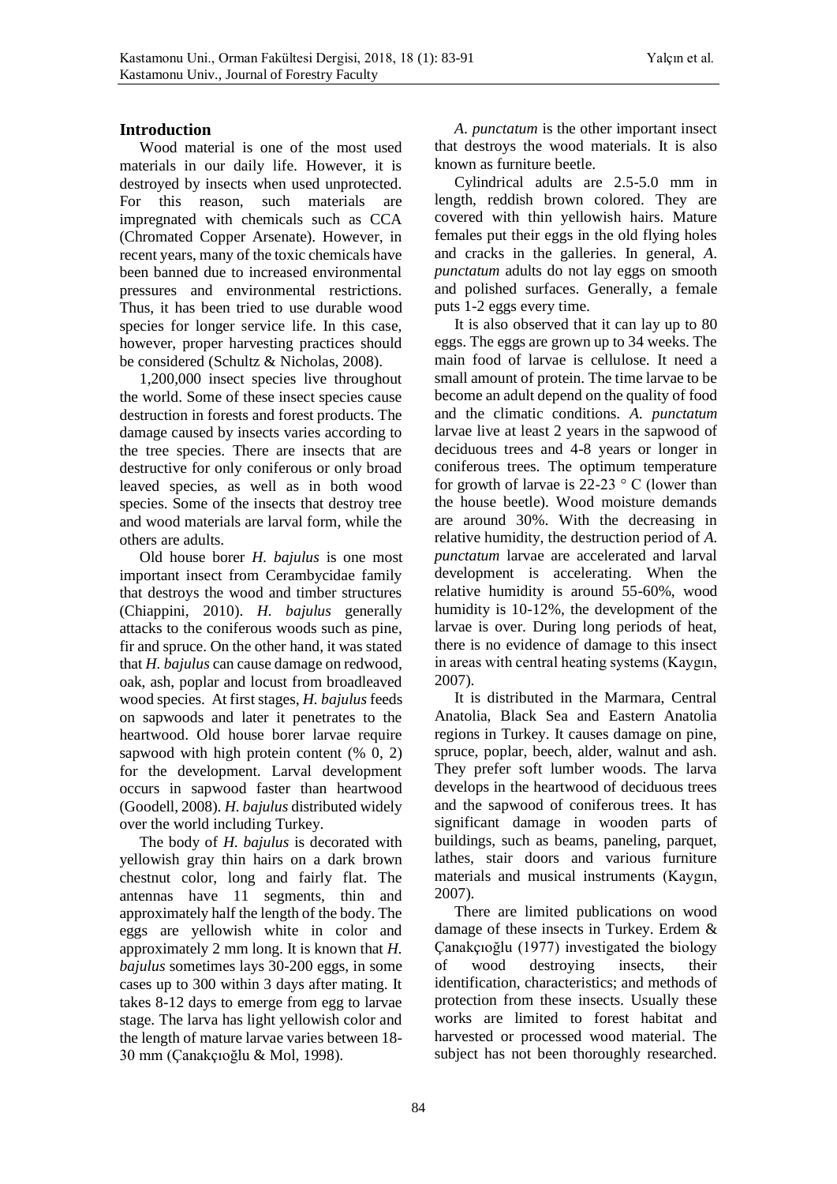## **Introduction**

Wood material is one of the most used materials in our daily life. However, it is destroyed by insects when used unprotected. For this reason, such materials are impregnated with chemicals such as CCA (Chromated Copper Arsenate). However, in recent years, many of the toxic chemicals have been banned due to increased environmental pressures and environmental restrictions. Thus, it has been tried to use durable wood species for longer service life. In this case, however, proper harvesting practices should be considered (Schultz & Nicholas, 2008).

1,200,000 insect species live throughout the world. Some of these insect species cause destruction in forests and forest products. The damage caused by insects varies according to the tree species. There are insects that are destructive for only coniferous or only broad leaved species, as well as in both wood species. Some of the insects that destroy tree and wood materials are larval form, while the others are adults.

Old house borer *H. bajulus* is one most important insect from Cerambycidae family that destroys the wood and timber structures (Chiappini, 2010). *H. bajulus* generally attacks to the coniferous woods such as pine, fir and spruce. On the other hand, it was stated that *H. bajulus* can cause damage on redwood, oak, ash, poplar and locust from broadleaved wood species. At first stages, *H. bajulus* feeds on sapwoods and later it penetrates to the heartwood. Old house borer larvae require sapwood with high protein content (% 0, 2) for the development. Larval development occurs in sapwood faster than heartwood (Goodell, 2008). *H. bajulus* distributed widely over the world including Turkey.

The body of *H. bajulus* is decorated with yellowish gray thin hairs on a dark brown chestnut color, long and fairly flat. The antennas have 11 segments, thin and approximately half the length of the body. The eggs are yellowish white in color and approximately 2 mm long. It is known that *H. bajulus* sometimes lays 30-200 eggs, in some cases up to 300 within 3 days after mating. It takes 8-12 days to emerge from egg to larvae stage. The larva has light yellowish color and the length of mature larvae varies between 18- 30 mm (Çanakçıoğlu & Mol, 1998).

*A*. *punctatum* is the other important insect that destroys the wood materials. It is also known as furniture beetle.

Cylindrical adults are 2.5-5.0 mm in length, reddish brown colored. They are covered with thin yellowish hairs. Mature females put their eggs in the old flying holes and cracks in the galleries. In general, *A*. *punctatum* adults do not lay eggs on smooth and polished surfaces. Generally, a female puts 1-2 eggs every time.

It is also observed that it can lay up to 80 eggs. The eggs are grown up to 34 weeks. The main food of larvae is cellulose. It need a small amount of protein. The time larvae to be become an adult depend on the quality of food and the climatic conditions. *A. punctatum* larvae live at least 2 years in the sapwood of deciduous trees and 4-8 years or longer in coniferous trees. The optimum temperature for growth of larvae is  $22-23$  ° C (lower than the house beetle). Wood moisture demands are around 30%. With the decreasing in relative humidity, the destruction period of *A. punctatum* larvae are accelerated and larval development is accelerating. When the relative humidity is around 55-60%, wood humidity is 10-12%, the development of the larvae is over. During long periods of heat, there is no evidence of damage to this insect in areas with central heating systems (Kaygın, 2007).

It is distributed in the Marmara, Central Anatolia, Black Sea and Eastern Anatolia regions in Turkey. It causes damage on pine, spruce, poplar, beech, alder, walnut and ash. They prefer soft lumber woods. The larva develops in the heartwood of deciduous trees and the sapwood of coniferous trees. It has significant damage in wooden parts of buildings, such as beams, paneling, parquet, lathes, stair doors and various furniture materials and musical instruments (Kaygın, 2007).

There are limited publications on wood damage of these insects in Turkey. Erdem & Çanakçıoğlu (1977) investigated the biology of wood destroying insects, their identification, characteristics; and methods of protection from these insects. Usually these works are limited to forest habitat and harvested or processed wood material. The subject has not been thoroughly researched.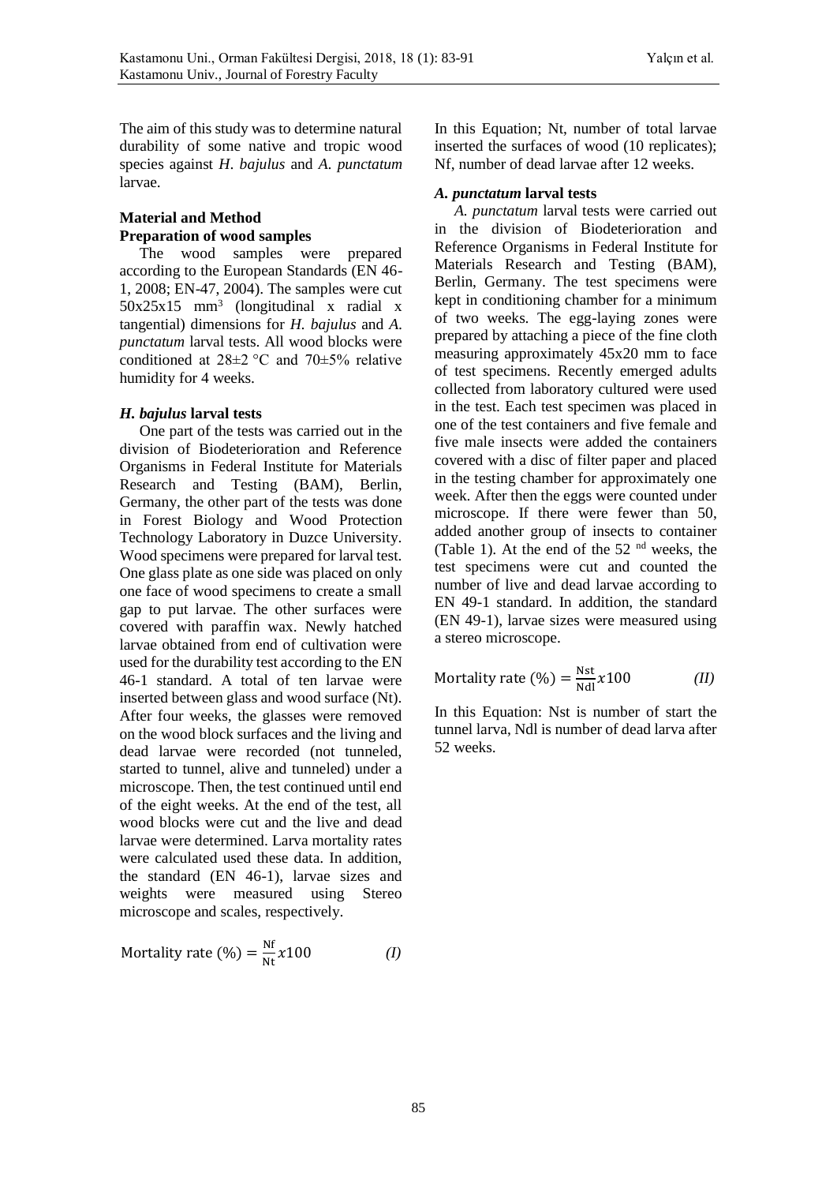The aim of this study was to determine natural durability of some native and tropic wood species against *H*. *bajulus* and *A. punctatum* larvae.

## **Material and Method Preparation of wood samples**

The wood samples were prepared according to the European Standards (EN 46- 1, 2008; EN-47, 2004). The samples were cut 50x25x15 mm<sup>3</sup> (longitudinal x radial x tangential) dimensions for *H. bajulus* and *A. punctatum* larval tests. All wood blocks were conditioned at  $28\pm2$  °C and  $70\pm5\%$  relative humidity for 4 weeks.

## *H. bajulus* **larval tests**

One part of the tests was carried out in the division of Biodeterioration and Reference Organisms in Federal Institute for Materials Research and Testing (BAM), Berlin, Germany, the other part of the tests was done in Forest Biology and Wood Protection Technology Laboratory in Duzce University. Wood specimens were prepared for larval test. One glass plate as one side was placed on only one face of wood specimens to create a small gap to put larvae. The other surfaces were covered with paraffin wax. Newly hatched larvae obtained from end of cultivation were used for the durability test according to the EN 46-1 standard. A total of ten larvae were inserted between glass and wood surface (Nt). After four weeks, the glasses were removed on the wood block surfaces and the living and dead larvae were recorded (not tunneled, started to tunnel, alive and tunneled) under a microscope. Then, the test continued until end of the eight weeks. At the end of the test, all wood blocks were cut and the live and dead larvae were determined. Larva mortality rates were calculated used these data. In addition, the standard (EN 46-1), larvae sizes and weights were measured using Stereo microscope and scales, respectively.

Mortality rate (
$$
\%
$$
) =  $\frac{\text{Nf}}{\text{Nt}} \chi 100$  (1)

In this Equation; Nt, number of total larvae inserted the surfaces of wood (10 replicates); Nf, number of dead larvae after 12 weeks.

## *A. punctatum* **larval tests**

*A. punctatum* larval tests were carried out in the division of Biodeterioration and Reference Organisms in Federal Institute for Materials Research and Testing (BAM), Berlin, Germany. The test specimens were kept in conditioning chamber for a minimum of two weeks. The egg-laying zones were prepared by attaching a piece of the fine cloth measuring approximately 45x20 mm to face of test specimens. Recently emerged adults collected from laboratory cultured were used in the test. Each test specimen was placed in one of the test containers and five female and five male insects were added the containers covered with a disc of filter paper and placed in the testing chamber for approximately one week. After then the eggs were counted under microscope. If there were fewer than 50, added another group of insects to container (Table 1). At the end of the  $52<sup>nd</sup>$  weeks, the test specimens were cut and counted the number of live and dead larvae according to EN 49-1 standard. In addition, the standard (EN 49-1), larvae sizes were measured using a stereo microscope.

Mortality rate (
$$
\%
$$
) =  $\frac{\text{Nst}}{\text{Ndl}}$  x100 *(II)*

In this Equation: Nst is number of start the tunnel larva, Ndl is number of dead larva after 52 weeks.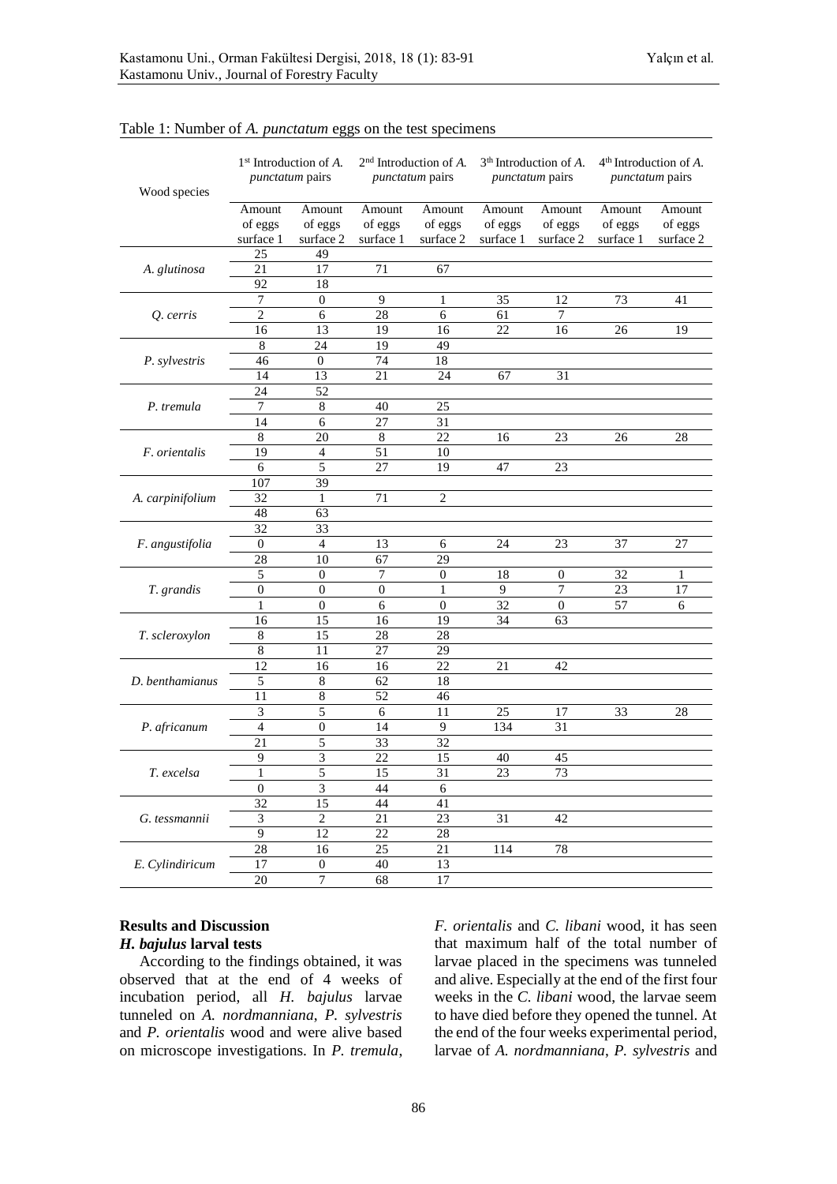| Wood species     | 1 <sup>st</sup> Introduction of A.<br><i>punctatum</i> pairs |                                | 2 <sup>nd</sup> Introduction of A.<br><i>punctatum</i> pairs |                                | 3 <sup>th</sup> Introduction of A.<br><i>punctatum</i> pairs |                                | 4 <sup>th</sup> Introduction of A.<br><i>punctatum</i> pairs |                                |
|------------------|--------------------------------------------------------------|--------------------------------|--------------------------------------------------------------|--------------------------------|--------------------------------------------------------------|--------------------------------|--------------------------------------------------------------|--------------------------------|
|                  | Amount<br>of eggs<br>surface 1                               | Amount<br>of eggs<br>surface 2 | Amount<br>of eggs<br>surface 1                               | Amount<br>of eggs<br>surface 2 | Amount<br>of eggs<br>surface 1                               | Amount<br>of eggs<br>surface 2 | Amount<br>of eggs<br>surface 1                               | Amount<br>of eggs<br>surface 2 |
|                  | 25                                                           | 49                             |                                                              |                                |                                                              |                                |                                                              |                                |
| A. glutinosa     | 21                                                           | 17                             | 71                                                           | 67                             |                                                              |                                |                                                              |                                |
|                  | 92                                                           | 18                             |                                                              |                                |                                                              |                                |                                                              |                                |
|                  | 7                                                            | $\boldsymbol{0}$               | 9                                                            | 1                              | 35                                                           | 12                             | 73                                                           | 41                             |
| Q. cerris        | $\overline{2}$                                               | 6                              | $\overline{28}$                                              | 6                              | 61                                                           | $\overline{7}$                 |                                                              |                                |
|                  | $\overline{16}$                                              | 13                             | 19                                                           | 16                             | 22                                                           | 16                             | 26                                                           | 19                             |
|                  | $\overline{8}$                                               | 24                             | 19                                                           | 49                             |                                                              |                                |                                                              |                                |
| P. sylvestris    | 46                                                           | $\overline{0}$                 | 74                                                           | 18                             |                                                              |                                |                                                              |                                |
|                  | 14                                                           | 13                             | 21                                                           | 24                             | 67                                                           | 31                             |                                                              |                                |
|                  | 24                                                           | 52                             |                                                              |                                |                                                              |                                |                                                              |                                |
| P. tremula       | 7                                                            | 8                              | 40                                                           | 25                             |                                                              |                                |                                                              |                                |
|                  | 14                                                           | 6                              | 27                                                           | 31                             |                                                              |                                |                                                              |                                |
|                  | 8                                                            | 20                             | $\,8$                                                        | 22                             | 16                                                           | 23                             | 26                                                           | 28                             |
| F. orientalis    | $\overline{19}$                                              | $\overline{\mathcal{L}}$       | $\overline{51}$                                              | 10                             |                                                              |                                |                                                              |                                |
|                  | 6                                                            | 5                              | 27                                                           | 19                             | 47                                                           | 23                             |                                                              |                                |
|                  | 107                                                          | 39                             |                                                              |                                |                                                              |                                |                                                              |                                |
| A. carpinifolium | 32                                                           | $\mathbf{1}$                   | 71                                                           | $\overline{c}$                 |                                                              |                                |                                                              |                                |
|                  | 48                                                           | 63                             |                                                              |                                |                                                              |                                |                                                              |                                |
|                  | 32                                                           | 33                             |                                                              |                                |                                                              |                                |                                                              |                                |
| F. angustifolia  | $\boldsymbol{0}$                                             | $\overline{4}$                 | 13                                                           | 6                              | 24                                                           | 23                             | 37                                                           | 27                             |
|                  | $\overline{28}$                                              | $\overline{10}$                | 67                                                           | $\overline{29}$                |                                                              |                                |                                                              |                                |
|                  | 5                                                            | $\boldsymbol{0}$               | 7                                                            | $\mathbf{0}$                   | 18                                                           | $\boldsymbol{0}$               | 32                                                           | 1                              |
| T. grandis       | $\overline{0}$                                               | $\overline{0}$                 | $\overline{0}$                                               | $\mathbf{1}$                   | $\overline{9}$                                               | $\overline{7}$                 | 23                                                           | 17                             |
|                  | $\mathbf{1}$                                                 | $\boldsymbol{0}$               | 6                                                            | $\boldsymbol{0}$               | 32                                                           | $\boldsymbol{0}$               | 57                                                           | 6                              |
|                  | 16                                                           | 15                             | 16                                                           | 19                             | 34                                                           | 63                             |                                                              |                                |
| T. scleroxylon   | $\overline{8}$                                               | 15                             | $\overline{28}$                                              | 28                             |                                                              |                                |                                                              |                                |
|                  | $\overline{8}$                                               | 11                             | 27                                                           | 29                             |                                                              |                                |                                                              |                                |
|                  | $\overline{12}$                                              | $\overline{16}$                | 16                                                           | $\overline{22}$                | 21                                                           | 42                             |                                                              |                                |
| D. benthamianus  | 5                                                            | $\sqrt{8}$                     | 62                                                           | 18                             |                                                              |                                |                                                              |                                |
|                  | $\overline{11}$                                              | $\overline{\bf 8}$             | 52                                                           | 46                             |                                                              |                                |                                                              |                                |
|                  | 3                                                            | 5                              | 6                                                            | 11                             | 25                                                           | 17                             | 33                                                           | 28                             |
| P. africanum     | $\overline{4}$                                               | $\overline{0}$                 | 14                                                           | 9                              | 134                                                          | 31                             |                                                              |                                |
|                  | 21                                                           | 5                              | 33                                                           | 32                             |                                                              |                                |                                                              |                                |
| T. excelsa       | 9                                                            | 3                              | 22                                                           | 15                             | 40                                                           | 45                             |                                                              |                                |
|                  | $\,1$                                                        | 5                              | 15                                                           | 31                             | 23                                                           | 73                             |                                                              |                                |
|                  | $\boldsymbol{0}$                                             | 3                              | 44                                                           | 6                              |                                                              |                                |                                                              |                                |
|                  | $\overline{32}$                                              | $\overline{15}$                | 44                                                           | $\overline{41}$                |                                                              |                                |                                                              |                                |
| G. tessmannii    | 3                                                            | $\overline{2}$                 | 21                                                           | 23                             | 31                                                           | 42                             |                                                              |                                |
|                  | 9                                                            | 12                             | 22                                                           | 28                             |                                                              |                                |                                                              |                                |
|                  | 28<br>$\overline{17}$                                        | 16<br>$\boldsymbol{0}$         | 25<br>40                                                     | 21<br>13                       | 114                                                          | 78                             |                                                              |                                |
| E. Cylindiricum  | 20                                                           | $\overline{7}$                 | 68                                                           | 17                             |                                                              |                                |                                                              |                                |
|                  |                                                              |                                |                                                              |                                |                                                              |                                |                                                              |                                |

Table 1: Number of *A. punctatum* eggs on the test specimens

## **Results and Discussion** *H. bajulus* **larval tests**

According to the findings obtained, it was observed that at the end of 4 weeks of incubation period, all *H. bajulus* larvae tunneled on *A. nordmanniana*, *P. sylvestris* and *P. orientalis* wood and were alive based on microscope investigations. In *P. tremula*, *F. orientalis* and *C. libani* wood, it has seen that maximum half of the total number of larvae placed in the specimens was tunneled and alive. Especially at the end of the first four weeks in the *C. libani* wood, the larvae seem to have died before they opened the tunnel. At the end of the four weeks experimental period, larvae of *A. nordmanniana*, *P. sylvestris* and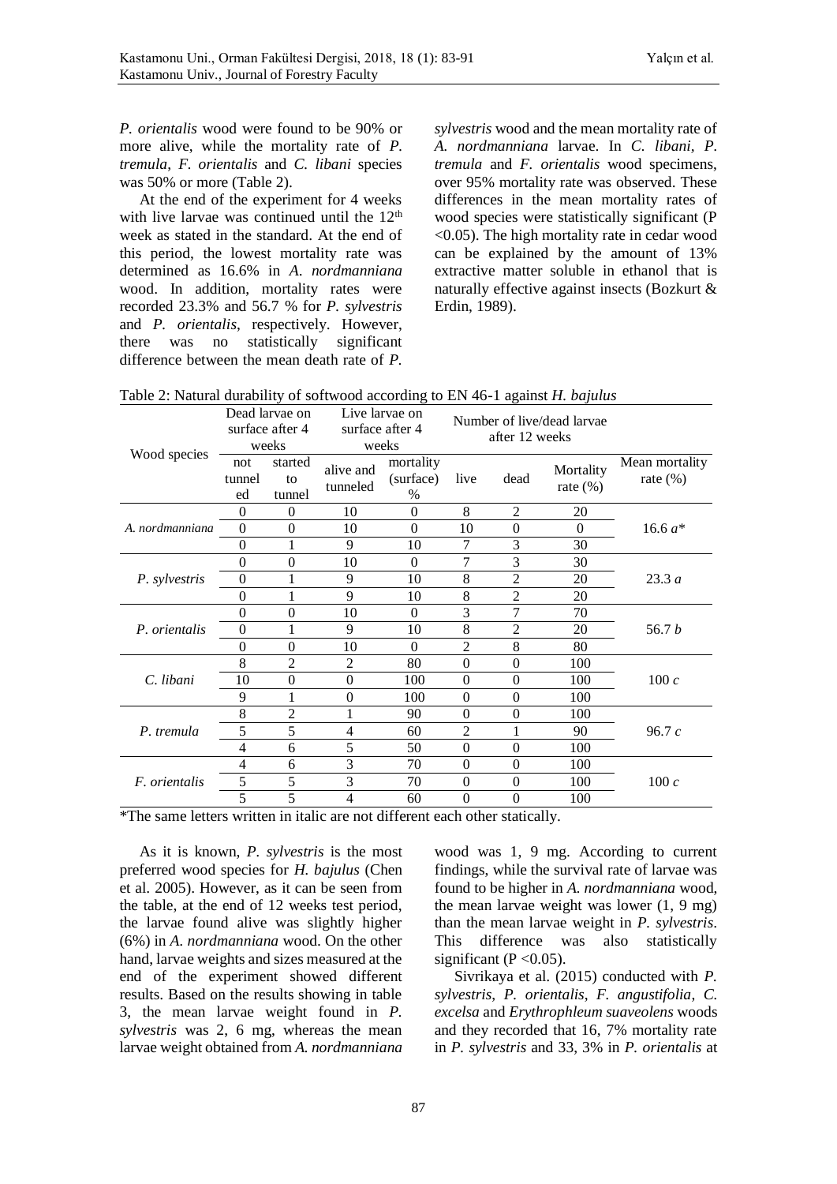*P. orientalis* wood were found to be 90% or more alive, while the mortality rate of *P. tremula*, *F. orientalis* and *C. libani* species was 50% or more (Table 2).

At the end of the experiment for 4 weeks with live larvae was continued until the  $12<sup>th</sup>$ week as stated in the standard. At the end of this period, the lowest mortality rate was determined as 16.6% in *A*. *nordmanniana* wood. In addition, mortality rates were recorded 23.3% and 56.7 % for *P. sylvestris* and *P. orientalis*, respectively. However, there was no statistically significant difference between the mean death rate of *P.*  *sylvestris* wood and the mean mortality rate of *A. nordmanniana* larvae. In *C. libani, P. tremula* and *F. orientalis* wood specimens, over 95% mortality rate was observed. These differences in the mean mortality rates of wood species were statistically significant (P <0.05). The high mortality rate in cedar wood can be explained by the amount of 13% extractive matter soluble in ethanol that is naturally effective against insects (Bozkurt & Erdin, 1989).

|                      | Dead larvae on<br>surface after 4<br>weeks |                         | Live larvae on<br>surface after 4<br>weeks |                                | Number of live/dead larvae<br>after 12 weeks |                |                          |                                |
|----------------------|--------------------------------------------|-------------------------|--------------------------------------------|--------------------------------|----------------------------------------------|----------------|--------------------------|--------------------------------|
| Wood species         | not<br>tunnel<br>ed                        | started<br>to<br>tunnel | alive and<br>tunneled                      | mortality<br>(surface)<br>$\%$ | live                                         | dead           | Mortality<br>rate $(\%)$ | Mean mortality<br>rate $(\% )$ |
|                      | $\theta$                                   | $\Omega$                | 10                                         | $\theta$                       | 8                                            | $\overline{2}$ | 20                       |                                |
| A. nordmanniana      | $\theta$                                   | $\Omega$                | 10                                         | $\theta$                       | 10                                           | $\mathbf{0}$   | $\Omega$                 | 16.6 $a^*$                     |
|                      | $\theta$                                   |                         | 9                                          | 10                             | 7                                            | 3              | 30                       |                                |
|                      | 0                                          | $\theta$                | 10                                         | $\Omega$                       | 7                                            | 3              | 30                       |                                |
| P. sylvestris        | $\Omega$                                   |                         | 9                                          | 10                             | 8                                            | $\overline{2}$ | 20                       | 23.3a                          |
|                      | $\theta$                                   |                         | 9                                          | 10                             | 8                                            | 2              | 20                       |                                |
|                      | 0                                          | $\theta$                | 10                                         | $\Omega$                       | 3                                            | $\overline{7}$ | 70                       |                                |
| P. orientalis        | $\theta$                                   | 1                       | 9                                          | 10                             | 8                                            | $\overline{c}$ | 20                       | 56.7 $b$                       |
|                      | $\Omega$                                   | $\Omega$                | 10                                         | $\Omega$                       | $\overline{2}$                               | 8              | 80                       |                                |
|                      | 8                                          | $\overline{2}$          | $\overline{2}$                             | 80                             | $\boldsymbol{0}$                             | $\mathbf{0}$   | 100                      |                                |
| C. libani            | 10                                         | $\Omega$                | $\theta$                                   | 100                            | $\theta$                                     | $\mathbf{0}$   | 100                      | 100c                           |
|                      | 9                                          |                         | 0                                          | 100                            | $\theta$                                     | $\theta$       | 100                      |                                |
|                      | 8                                          | $\overline{2}$          |                                            | 90                             | $\Omega$                                     | $\theta$       | 100                      |                                |
| P. tremula           | 5                                          | 5                       | 4                                          | 60                             | $\overline{2}$                               | 1              | 90                       | 96.7c                          |
|                      | 4                                          | 6                       | 5                                          | 50                             | $\theta$                                     | $\mathbf{0}$   | 100                      |                                |
| <i>F.</i> orientalis | 4                                          | 6                       | 3                                          | 70                             | $\theta$                                     | $\mathbf{0}$   | 100                      |                                |
|                      | 5                                          | 5                       | 3                                          | 70                             | $\theta$                                     | $\mathbf{0}$   | 100                      | 100c                           |
|                      | 5                                          | 5                       | 4                                          | 60                             | $\overline{0}$                               | $\overline{0}$ | 100                      |                                |

| Table 2: Natural durability of softwood according to EN 46-1 against <i>H. bajulus</i> |  |  |  |
|----------------------------------------------------------------------------------------|--|--|--|
|                                                                                        |  |  |  |

\*The same letters written in italic are not different each other statically.

As it is known, *P. sylvestris* is the most preferred wood species for *H. bajulus* (Chen et al. 2005). However, as it can be seen from the table, at the end of 12 weeks test period, the larvae found alive was slightly higher (6%) in *A. nordmanniana* wood. On the other hand, larvae weights and sizes measured at the end of the experiment showed different results. Based on the results showing in table 3, the mean larvae weight found in *P. sylvestris* was 2, 6 mg, whereas the mean larvae weight obtained from *A. nordmanniana*

wood was 1, 9 mg. According to current findings, while the survival rate of larvae was found to be higher in *A. nordmanniana* wood, the mean larvae weight was lower (1, 9 mg) than the mean larvae weight in *P. sylvestris*. This difference was also statistically significant ( $P < 0.05$ ).

Sivrikaya et al. (2015) conducted with *P. sylvestris*, *P. orientalis*, *F. angustifolia*, *C. excelsa* and *Erythrophleum suaveolens* woods and they recorded that 16, 7% mortality rate in *P. sylvestris* and 33, 3% in *P. orientalis* at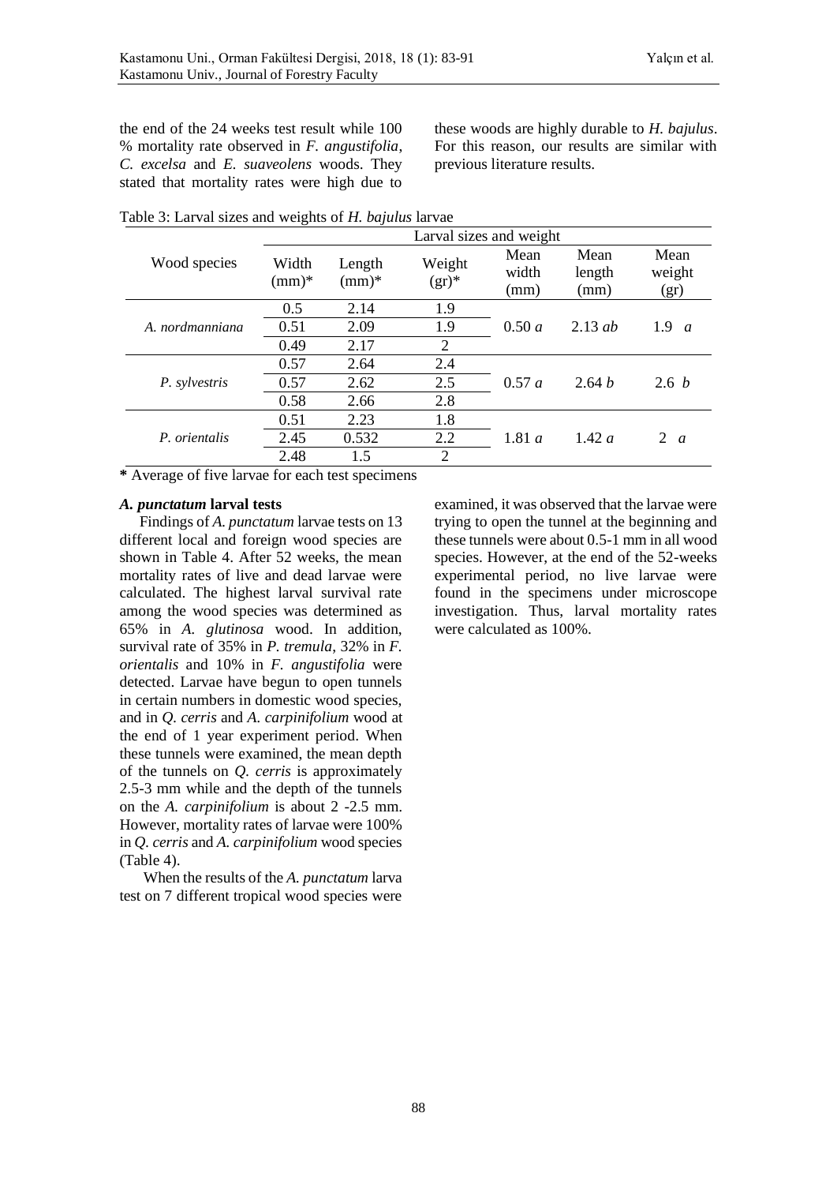the end of the 24 weeks test result while 100 % mortality rate observed in *F. angustifolia*, *C. excelsa* and *E. suaveolens* woods. They stated that mortality rates were high due to

these woods are highly durable to *H. bajulus*. For this reason, our results are similar with previous literature results.

|                 | Larval sizes and weight |                   |                    |                       |                        |                         |  |  |
|-----------------|-------------------------|-------------------|--------------------|-----------------------|------------------------|-------------------------|--|--|
| Wood species    | Width<br>$(mm)*$        | Length<br>$(mm)*$ | Weight<br>$(gr)^*$ | Mean<br>width<br>(mm) | Mean<br>length<br>(mm) | Mean<br>weight<br>(gr)  |  |  |
|                 | 0.5                     | 2.14              | 1.9                |                       |                        |                         |  |  |
| A. nordmanniana | 0.51                    | 2.09              | 1.9                | 0.50 a                | 2.13 $ab$              | 1.9<br>$\boldsymbol{a}$ |  |  |
|                 | 0.49                    | 2.17              | $\overline{2}$     |                       |                        |                         |  |  |
|                 | 0.57                    | 2.64              | 2.4                |                       | 2.64 $b$               |                         |  |  |
| P. sylvestris   | 0.57                    | 2.62              | 2.5                | 0.57 a                |                        | 2.6 b                   |  |  |
|                 | 0.58                    | 2.66              | 2.8                |                       |                        |                         |  |  |
|                 | 0.51                    | 2.23              | 1.8                |                       |                        |                         |  |  |
| P. orientalis   | 2.45                    | 0.532             | 2.2                | 1.81a                 | 1.42a                  | 2<br>$\overline{a}$     |  |  |
|                 | 2.48                    | 1.5               | $\overline{2}$     |                       |                        |                         |  |  |

Table 3: Larval sizes and weights of *H. bajulus* larvae

**\*** Average of five larvae for each test specimens

#### *A. punctatum* **larval tests**

Findings of *A. punctatum* larvae tests on 13 different local and foreign wood species are shown in Table 4. After 52 weeks, the mean mortality rates of live and dead larvae were calculated. The highest larval survival rate among the wood species was determined as 65% in *A. glutinosa* wood. In addition, survival rate of 35% in *P. tremula*, 32% in *F. orientalis* and 10% in *F. angustifolia* were detected. Larvae have begun to open tunnels in certain numbers in domestic wood species, and in *Q. cerris* and *A. carpinifolium* wood at the end of 1 year experiment period. When these tunnels were examined, the mean depth of the tunnels on *Q. cerris* is approximately 2.5-3 mm while and the depth of the tunnels on the *A. carpinifolium* is about 2 -2.5 mm. However, mortality rates of larvae were 100% in *Q. cerris* and *A. carpinifolium* wood species (Table 4).

When the results of the *A. punctatum* larva test on 7 different tropical wood species were

examined, it was observed that the larvae were trying to open the tunnel at the beginning and these tunnels were about 0.5-1 mm in all wood species. However, at the end of the 52-weeks experimental period, no live larvae were found in the specimens under microscope investigation. Thus, larval mortality rates were calculated as 100%.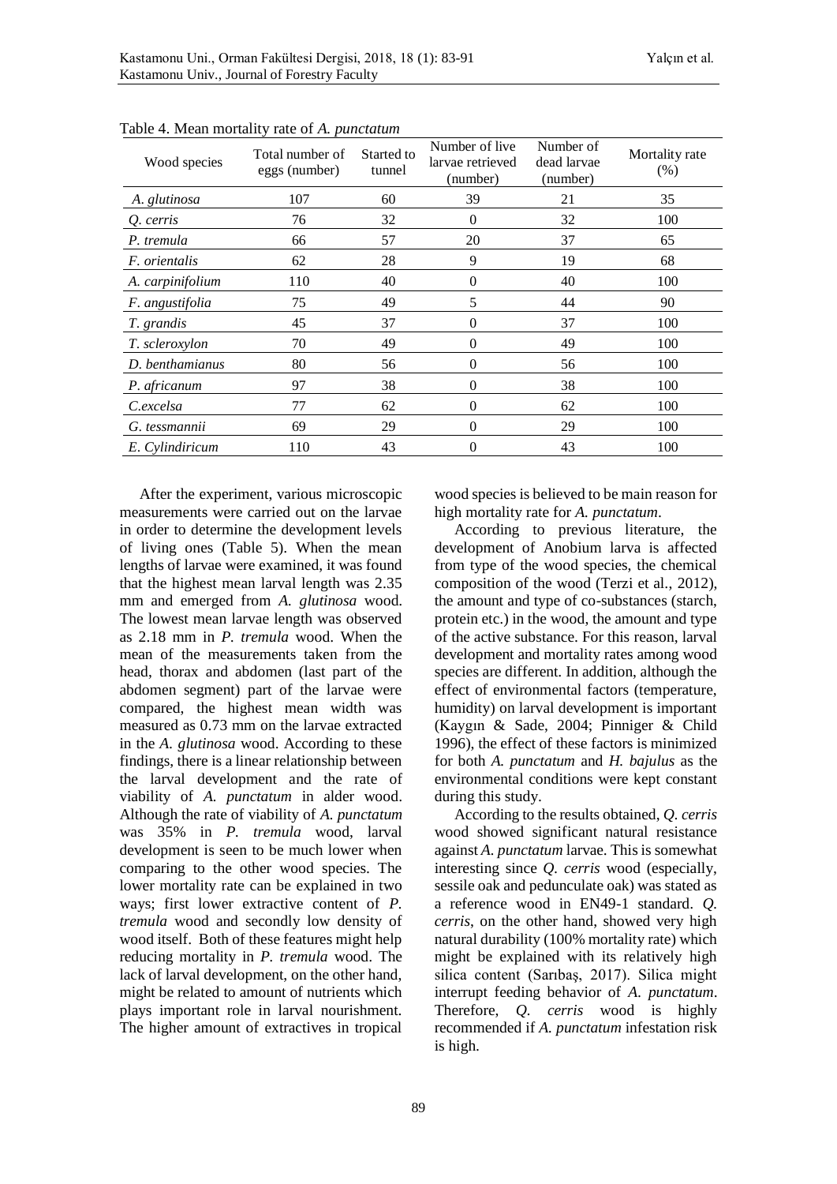| Wood species     | Total number of<br>eggs (number) | Started to<br>tunnel | Number of live<br>larvae retrieved<br>(number) | Number of<br>dead larvae<br>(number) | Mortality rate<br>$(\%)$ |
|------------------|----------------------------------|----------------------|------------------------------------------------|--------------------------------------|--------------------------|
| A. glutinosa     | 107                              | 60                   | 39                                             | 21                                   | 35                       |
| Q. cerris        | 76                               | 32                   | $\theta$                                       | 32                                   | 100                      |
| P. tremula       | 66                               | 57                   | 20                                             | 37                                   | 65                       |
| F. orientalis    | 62                               | 28                   | 9                                              | 19                                   | 68                       |
| A. carpinifolium | 110                              | 40                   | $\Omega$                                       | 40                                   | 100                      |
| F. angustifolia  | 75                               | 49                   | 5                                              | 44                                   | 90                       |
| T. grandis       | 45                               | 37                   | 0                                              | 37                                   | 100                      |
| T. scleroxylon   | 70                               | 49                   | $\Omega$                                       | 49                                   | 100                      |
| D. benthamianus  | 80                               | 56                   | 0                                              | 56                                   | 100                      |
| P. africanum     | 97                               | 38                   | $\theta$                                       | 38                                   | 100                      |
| C.excelsa        | 77                               | 62                   | $\Omega$                                       | 62                                   | 100                      |
| G. tessmannii    | 69                               | 29                   | $\theta$                                       | 29                                   | 100                      |
| E. Cylindiricum  | 110                              | 43                   | 0                                              | 43                                   | 100                      |

Table 4. Mean mortality rate of *A. punctatum*

After the experiment, various microscopic measurements were carried out on the larvae in order to determine the development levels of living ones (Table 5). When the mean lengths of larvae were examined, it was found that the highest mean larval length was 2.35 mm and emerged from *A. glutinosa* wood. The lowest mean larvae length was observed as 2.18 mm in *P. tremula* wood. When the mean of the measurements taken from the head, thorax and abdomen (last part of the abdomen segment) part of the larvae were compared, the highest mean width was measured as 0.73 mm on the larvae extracted in the *A. glutinosa* wood. According to these findings, there is a linear relationship between the larval development and the rate of viability of *A. punctatum* in alder wood. Although the rate of viability of *A. punctatum* was 35% in *P. tremula* wood, larval development is seen to be much lower when comparing to the other wood species. The lower mortality rate can be explained in two ways; first lower extractive content of *P. tremula* wood and secondly low density of wood itself. Both of these features might help reducing mortality in *P. tremula* wood. The lack of larval development, on the other hand, might be related to amount of nutrients which plays important role in larval nourishment. The higher amount of extractives in tropical

wood species is believed to be main reason for high mortality rate for *A. punctatum*.

According to previous literature, the development of Anobium larva is affected from type of the wood species, the chemical composition of the wood (Terzi et al., 2012), the amount and type of co-substances (starch, protein etc.) in the wood, the amount and type of the active substance. For this reason, larval development and mortality rates among wood species are different. In addition, although the effect of environmental factors (temperature, humidity) on larval development is important (Kaygın & Sade, 2004; Pinniger & Child 1996), the effect of these factors is minimized for both *A. punctatum* and *H. bajulus* as the environmental conditions were kept constant during this study.

According to the results obtained, *Q. cerris* wood showed significant natural resistance against *A. punctatum* larvae. This is somewhat interesting since *Q. cerris* wood (especially, sessile oak and pedunculate oak) was stated as a reference wood in EN49-1 standard. *Q. cerris*, on the other hand, showed very high natural durability (100% mortality rate) which might be explained with its relatively high silica content (Sarıbaş, 2017). Silica might interrupt feeding behavior of *A. punctatum*. Therefore, *Q. cerris* wood is highly recommended if *A. punctatum* infestation risk is high.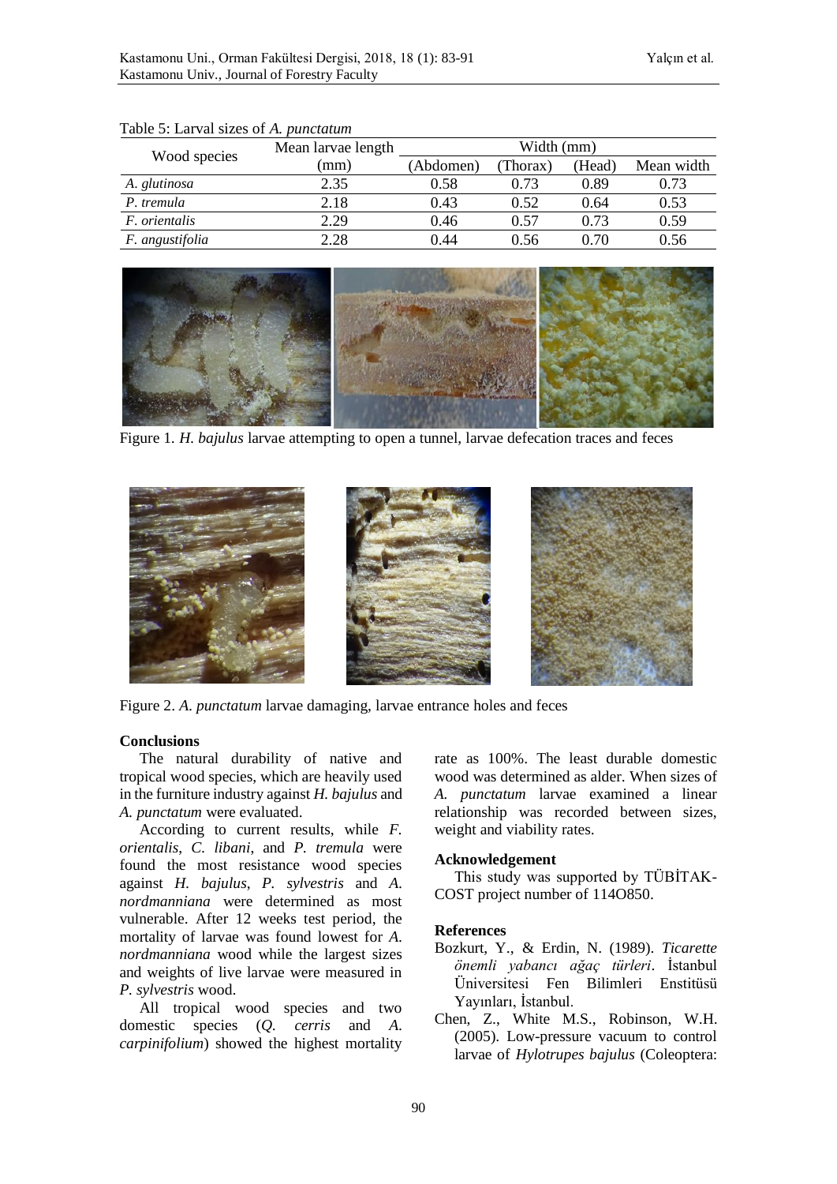|                      | Mean larvae length | Width (mm) |         |        |            |  |  |
|----------------------|--------------------|------------|---------|--------|------------|--|--|
| Wood species         | mm)                | (Abdomen)  | Thorax) | (Head) | Mean width |  |  |
| A. glutinosa         | 2.35               | 0.58       | 0.73    | 0.89   | 0.73       |  |  |
| P. tremula           | 2.18               | 0.43       | 0.52    | 0.64   | 0.53       |  |  |
| <i>F. orientalis</i> | 2.29               | 0.46       | 0.57    | 0.73   | 0.59       |  |  |
| F. angustifolia      | 2.28               | 0.44       | 0.56    | ი 70   | 0.56       |  |  |

#### Table 5: Larval sizes of *A. punctatum*



Figure 1*. H. bajulus* larvae attempting to open a tunnel, larvae defecation traces and feces



Figure 2. *A. punctatum* larvae damaging, larvae entrance holes and feces

#### **Conclusions**

The natural durability of native and tropical wood species, which are heavily used in the furniture industry against *H. bajulus* and *A. punctatum* were evaluated.

According to current results, while *F. orientalis*, *C. libani*, and *P. tremula* were found the most resistance wood species against *H. bajulus*, *P. sylvestris* and *A. nordmanniana* were determined as most vulnerable. After 12 weeks test period, the mortality of larvae was found lowest for *A. nordmanniana* wood while the largest sizes and weights of live larvae were measured in *P. sylvestris* wood.

All tropical wood species and two domestic species (*Q. cerris* and *A. carpinifolium*) showed the highest mortality rate as 100%. The least durable domestic wood was determined as alder. When sizes of *A. punctatum* larvae examined a linear relationship was recorded between sizes, weight and viability rates.

#### **Acknowledgement**

This study was supported by TÜBİTAK-COST project number of 114O850.

#### **References**

- Bozkurt, Y., & Erdin, N. (1989). *Ticarette önemli yabancı ağaç türleri*. İstanbul Üniversitesi Fen Bilimleri Enstitüsü Yayınları, İstanbul.
- Chen, Z., White M.S., Robinson, W.H. (2005). Low-pressure vacuum to control larvae of *Hylotrupes bajulus* (Coleoptera: